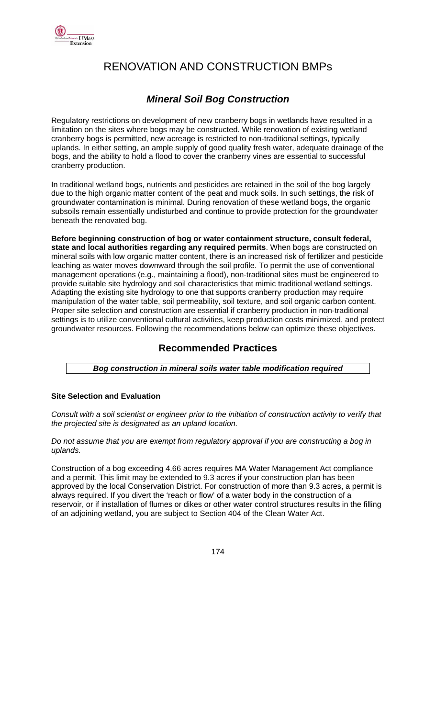

# RENOVATION AND CONSTRUCTION BMPs

### *Mineral Soil Bog Construction*

Regulatory restrictions on development of new cranberry bogs in wetlands have resulted in a limitation on the sites where bogs may be constructed. While renovation of existing wetland cranberry bogs is permitted, new acreage is restricted to non-traditional settings, typically uplands. In either setting, an ample supply of good quality fresh water, adequate drainage of the bogs, and the ability to hold a flood to cover the cranberry vines are essential to successful cranberry production.

In traditional wetland bogs, nutrients and pesticides are retained in the soil of the bog largely due to the high organic matter content of the peat and muck soils. In such settings, the risk of groundwater contamination is minimal. During renovation of these wetland bogs, the organic subsoils remain essentially undisturbed and continue to provide protection for the groundwater beneath the renovated bog.

**Before beginning construction of bog or water containment structure, consult federal, state and local authorities regarding any required permits**. When bogs are constructed on mineral soils with low organic matter content, there is an increased risk of fertilizer and pesticide leaching as water moves downward through the soil profile. To permit the use of conventional management operations (e.g., maintaining a flood), non-traditional sites must be engineered to provide suitable site hydrology and soil characteristics that mimic traditional wetland settings. Adapting the existing site hydrology to one that supports cranberry production may require manipulation of the water table, soil permeability, soil texture, and soil organic carbon content. Proper site selection and construction are essential if cranberry production in non-traditional settings is to utilize conventional cultural activities, keep production costs minimized, and protect groundwater resources. Following the recommendations below can optimize these objectives.

### **Recommended Practices**

*Bog construction in mineral soils water table modification required*

#### **Site Selection and Evaluation**

*Consult with a soil scientist or engineer prior to the initiation of construction activity to verify that the projected site is designated as an upland location.* 

*Do not assume that you are exempt from regulatory approval if you are constructing a bog in uplands.* 

Construction of a bog exceeding 4.66 acres requires MA Water Management Act compliance and a permit. This limit may be extended to 9.3 acres if your construction plan has been approved by the local Conservation District. For construction of more than 9.3 acres, a permit is always required. If you divert the 'reach or flow' of a water body in the construction of a reservoir, or if installation of flumes or dikes or other water control structures results in the filling of an adjoining wetland, you are subject to Section 404 of the Clean Water Act.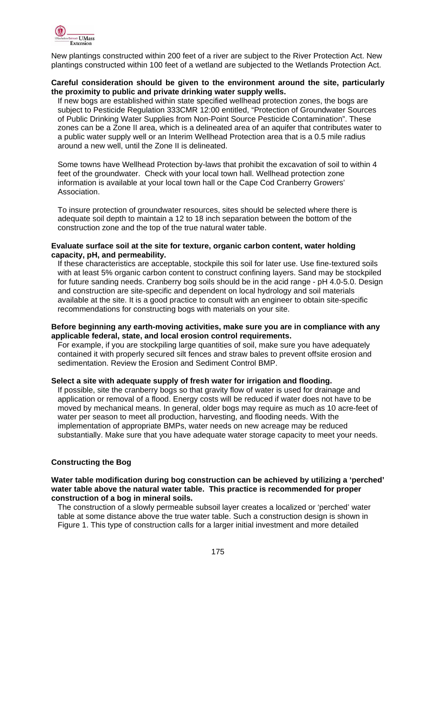

New plantings constructed within 200 feet of a river are subject to the River Protection Act. New plantings constructed within 100 feet of a wetland are subjected to the Wetlands Protection Act.

#### **Careful consideration should be given to the environment around the site, particularly the proximity to public and private drinking water supply wells.**

If new bogs are established within state specified wellhead protection zones, the bogs are subject to Pesticide Regulation 333CMR 12:00 entitled, "Protection of Groundwater Sources of Public Drinking Water Supplies from Non-Point Source Pesticide Contamination". These zones can be a Zone II area, which is a delineated area of an aquifer that contributes water to a public water supply well or an Interim Wellhead Protection area that is a 0.5 mile radius around a new well, until the Zone II is delineated.

Some towns have Wellhead Protection by-laws that prohibit the excavation of soil to within 4 feet of the groundwater. Check with your local town hall. Wellhead protection zone information is available at your local town hall or the Cape Cod Cranberry Growers' Association.

To insure protection of groundwater resources, sites should be selected where there is adequate soil depth to maintain a 12 to 18 inch separation between the bottom of the construction zone and the top of the true natural water table.

#### **Evaluate surface soil at the site for texture, organic carbon content, water holding capacity, pH, and permeability.**

If these characteristics are acceptable, stockpile this soil for later use. Use fine-textured soils with at least 5% organic carbon content to construct confining layers. Sand may be stockpiled for future sanding needs. Cranberry bog soils should be in the acid range - pH 4.0-5.0. Design and construction are site-specific and dependent on local hydrology and soil materials available at the site. It is a good practice to consult with an engineer to obtain site-specific recommendations for constructing bogs with materials on your site.

#### **Before beginning any earth-moving activities, make sure you are in compliance with any applicable federal, state, and local erosion control requirements.**

For example, if you are stockpiling large quantities of soil, make sure you have adequately contained it with properly secured silt fences and straw bales to prevent offsite erosion and sedimentation. Review the Erosion and Sediment Control BMP.

#### **Select a site with adequate supply of fresh water for irrigation and flooding.**

If possible, site the cranberry bogs so that gravity flow of water is used for drainage and application or removal of a flood. Energy costs will be reduced if water does not have to be moved by mechanical means. In general, older bogs may require as much as 10 acre-feet of water per season to meet all production, harvesting, and flooding needs. With the implementation of appropriate BMPs, water needs on new acreage may be reduced substantially. Make sure that you have adequate water storage capacity to meet your needs.

#### **Constructing the Bog**

#### **Water table modification during bog construction can be achieved by utilizing a 'perched' water table above the natural water table. This practice is recommended for proper construction of a bog in mineral soils.**

The construction of a slowly permeable subsoil layer creates a localized or 'perched' water table at some distance above the true water table. Such a construction design is shown in Figure 1. This type of construction calls for a larger initial investment and more detailed

<u>175 - Johann Stein, amerikan pengara pada 175 - Amerikan pengaran pada 175 - Amerikan pengaran pengaran penga</u>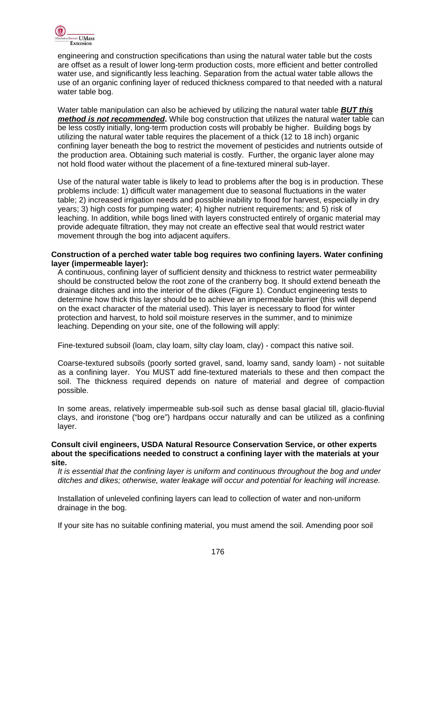

engineering and construction specifications than using the natural water table but the costs are offset as a result of lower long-term production costs, more efficient and better controlled water use, and significantly less leaching. Separation from the actual water table allows the use of an organic confining layer of reduced thickness compared to that needed with a natural water table bog.

Water table manipulation can also be achieved by utilizing the natural water table *BUT this method is not recommended***.** While bog construction that utilizes the natural water table can be less costly initially, long-term production costs will probably be higher. Building bogs by utilizing the natural water table requires the placement of a thick (12 to 18 inch) organic confining layer beneath the bog to restrict the movement of pesticides and nutrients outside of the production area. Obtaining such material is costly. Further, the organic layer alone may not hold flood water without the placement of a fine-textured mineral sub-layer.

Use of the natural water table is likely to lead to problems after the bog is in production. These problems include: 1) difficult water management due to seasonal fluctuations in the water table; 2) increased irrigation needs and possible inability to flood for harvest, especially in dry years; 3) high costs for pumping water; 4) higher nutrient requirements; and 5) risk of leaching. In addition, while bogs lined with layers constructed entirely of organic material may provide adequate filtration, they may not create an effective seal that would restrict water movement through the bog into adjacent aquifers.

#### **Construction of a perched water table bog requires two confining layers. Water confining layer (impermeable layer):**

A continuous, confining layer of sufficient density and thickness to restrict water permeability should be constructed below the root zone of the cranberry bog. It should extend beneath the drainage ditches and into the interior of the dikes (Figure 1). Conduct engineering tests to determine how thick this layer should be to achieve an impermeable barrier (this will depend on the exact character of the material used). This layer is necessary to flood for winter protection and harvest, to hold soil moisture reserves in the summer, and to minimize leaching. Depending on your site, one of the following will apply:

Fine-textured subsoil (loam, clay loam, silty clay loam, clay) - compact this native soil.

Coarse-textured subsoils (poorly sorted gravel, sand, loamy sand, sandy loam) - not suitable as a confining layer. You MUST add fine-textured materials to these and then compact the soil. The thickness required depends on nature of material and degree of compaction possible.

In some areas, relatively impermeable sub-soil such as dense basal glacial till, glacio-fluvial clays, and ironstone ("bog ore") hardpans occur naturally and can be utilized as a confining layer.

#### **Consult civil engineers, USDA Natural Resource Conservation Service, or other experts about the specifications needed to construct a confining layer with the materials at your site.**

*It is essential that the confining layer is uniform and continuous throughout the bog and under ditches and dikes; otherwise, water leakage will occur and potential for leaching will increase.* 

Installation of unleveled confining layers can lead to collection of water and non-uniform drainage in the bog.

If your site has no suitable confining material, you must amend the soil. Amending poor soil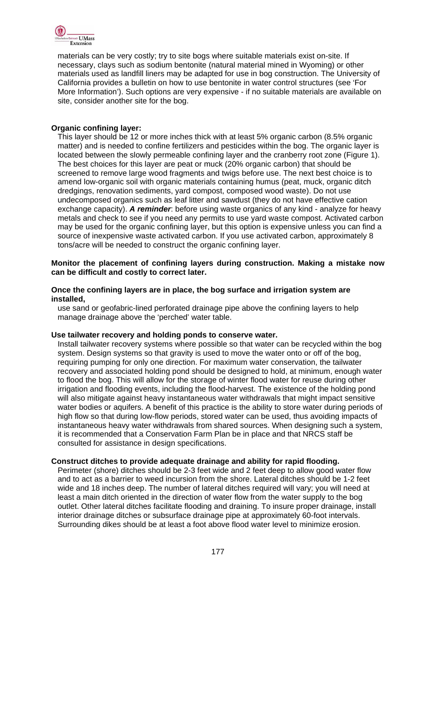

materials can be very costly; try to site bogs where suitable materials exist on-site. If necessary, clays such as sodium bentonite (natural material mined in Wyoming) or other materials used as landfill liners may be adapted for use in bog construction. The University of California provides a bulletin on how to use bentonite in water control structures (see 'For More Information'). Such options are very expensive - if no suitable materials are available on site, consider another site for the bog.

#### **Organic confining layer:**

This layer should be 12 or more inches thick with at least 5% organic carbon (8.5% organic matter) and is needed to confine fertilizers and pesticides within the bog. The organic layer is located between the slowly permeable confining layer and the cranberry root zone (Figure 1). The best choices for this layer are peat or muck (20% organic carbon) that should be screened to remove large wood fragments and twigs before use. The next best choice is to amend low-organic soil with organic materials containing humus (peat, muck, organic ditch dredgings, renovation sediments, yard compost, composed wood waste). Do not use undecomposed organics such as leaf litter and sawdust (they do not have effective cation exchange capacity). *A reminder*: before using waste organics of any kind - analyze for heavy metals and check to see if you need any permits to use yard waste compost. Activated carbon may be used for the organic confining layer, but this option is expensive unless you can find a source of inexpensive waste activated carbon. If you use activated carbon, approximately 8 tons/acre will be needed to construct the organic confining layer.

#### **Monitor the placement of confining layers during construction. Making a mistake now can be difficult and costly to correct later.**

#### **Once the confining layers are in place, the bog surface and irrigation system are installed,**

use sand or geofabric-lined perforated drainage pipe above the confining layers to help manage drainage above the 'perched' water table.

#### **Use tailwater recovery and holding ponds to conserve water.**

Install tailwater recovery systems where possible so that water can be recycled within the bog system. Design systems so that gravity is used to move the water onto or off of the bog, requiring pumping for only one direction. For maximum water conservation, the tailwater recovery and associated holding pond should be designed to hold, at minimum, enough water to flood the bog. This will allow for the storage of winter flood water for reuse during other irrigation and flooding events, including the flood-harvest. The existence of the holding pond will also mitigate against heavy instantaneous water withdrawals that might impact sensitive water bodies or aquifers. A benefit of this practice is the ability to store water during periods of high flow so that during low-flow periods, stored water can be used, thus avoiding impacts of instantaneous heavy water withdrawals from shared sources. When designing such a system, it is recommended that a Conservation Farm Plan be in place and that NRCS staff be consulted for assistance in design specifications.

#### **Construct ditches to provide adequate drainage and ability for rapid flooding.**

Perimeter (shore) ditches should be 2-3 feet wide and 2 feet deep to allow good water flow and to act as a barrier to weed incursion from the shore. Lateral ditches should be 1-2 feet wide and 18 inches deep. The number of lateral ditches required will vary; you will need at least a main ditch oriented in the direction of water flow from the water supply to the bog outlet. Other lateral ditches facilitate flooding and draining. To insure proper drainage, install interior drainage ditches or subsurface drainage pipe at approximately 60-foot intervals. Surrounding dikes should be at least a foot above flood water level to minimize erosion.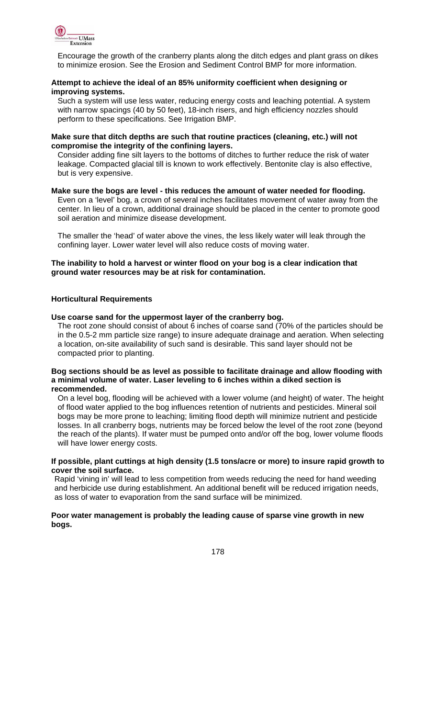

Encourage the growth of the cranberry plants along the ditch edges and plant grass on dikes to minimize erosion. See the Erosion and Sediment Control BMP for more information.

#### **Attempt to achieve the ideal of an 85% uniformity coefficient when designing or improving systems.**

Such a system will use less water, reducing energy costs and leaching potential. A system with narrow spacings (40 by 50 feet), 18-inch risers, and high efficiency nozzles should perform to these specifications. See Irrigation BMP.

#### **Make sure that ditch depths are such that routine practices (cleaning, etc.) will not compromise the integrity of the confining layers.**

Consider adding fine silt layers to the bottoms of ditches to further reduce the risk of water leakage. Compacted glacial till is known to work effectively. Bentonite clay is also effective, but is very expensive.

#### **Make sure the bogs are level - this reduces the amount of water needed for flooding.**

Even on a 'level' bog, a crown of several inches facilitates movement of water away from the center. In lieu of a crown, additional drainage should be placed in the center to promote good soil aeration and minimize disease development.

The smaller the 'head' of water above the vines, the less likely water will leak through the confining layer. Lower water level will also reduce costs of moving water.

#### **The inability to hold a harvest or winter flood on your bog is a clear indication that ground water resources may be at risk for contamination.**

#### **Horticultural Requirements**

#### **Use coarse sand for the uppermost layer of the cranberry bog.**

The root zone should consist of about 6 inches of coarse sand (70% of the particles should be in the 0.5-2 mm particle size range) to insure adequate drainage and aeration. When selecting a location, on-site availability of such sand is desirable. This sand layer should not be compacted prior to planting.

#### **Bog sections should be as level as possible to facilitate drainage and allow flooding with a minimal volume of water. Laser leveling to 6 inches within a diked section is recommended.**

On a level bog, flooding will be achieved with a lower volume (and height) of water. The height of flood water applied to the bog influences retention of nutrients and pesticides. Mineral soil bogs may be more prone to leaching; limiting flood depth will minimize nutrient and pesticide losses. In all cranberry bogs, nutrients may be forced below the level of the root zone (beyond the reach of the plants). If water must be pumped onto and/or off the bog, lower volume floods will have lower energy costs.

#### **If possible, plant cuttings at high density (1.5 tons/acre or more) to insure rapid growth to cover the soil surface.**

Rapid 'vining in' will lead to less competition from weeds reducing the need for hand weeding and herbicide use during establishment. An additional benefit will be reduced irrigation needs, as loss of water to evaporation from the sand surface will be minimized.

#### **Poor water management is probably the leading cause of sparse vine growth in new bogs.**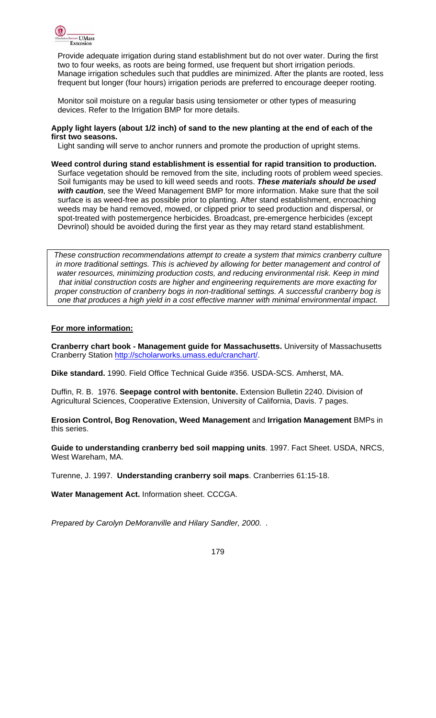

Provide adequate irrigation during stand establishment but do not over water. During the first two to four weeks, as roots are being formed, use frequent but short irrigation periods. Manage irrigation schedules such that puddles are minimized. After the plants are rooted, less frequent but longer (four hours) irrigation periods are preferred to encourage deeper rooting.

Monitor soil moisture on a regular basis using tensiometer or other types of measuring devices. Refer to the Irrigation BMP for more details.

#### **Apply light layers (about 1/2 inch) of sand to the new planting at the end of each of the first two seasons.**

Light sanding will serve to anchor runners and promote the production of upright stems.

**Weed control during stand establishment is essential for rapid transition to production.**  Surface vegetation should be removed from the site, including roots of problem weed species. Soil fumigants may be used to kill weed seeds and roots. *These materials should be used with caution*, see the Weed Management BMP for more information. Make sure that the soil surface is as weed-free as possible prior to planting. After stand establishment, encroaching weeds may be hand removed, mowed, or clipped prior to seed production and dispersal, or spot-treated with postemergence herbicides. Broadcast, pre-emergence herbicides (except Devrinol) should be avoided during the first year as they may retard stand establishment.

*These construction recommendations attempt to create a system that mimics cranberry culture*  in more traditional settings. This is achieved by allowing for better management and control of *water resources, minimizing production costs, and reducing environmental risk. Keep in mind that initial construction costs are higher and engineering requirements are more exacting for proper construction of cranberry bogs in non-traditional settings. A successful cranberry bog is one that produces a high yield in a cost effective manner with minimal environmental impact.* 

#### **For more information:**

**Cranberry chart book - Management guide for Massachusetts.** University of Massachusetts Cranberry Station http://scholarworks.umass.edu/cranchart/.

**Dike standard.** 1990. Field Office Technical Guide #356. USDA-SCS. Amherst, MA.

Duffin, R. B. 1976. **Seepage control with bentonite.** Extension Bulletin 2240. Division of Agricultural Sciences, Cooperative Extension, University of California, Davis. 7 pages.

**Erosion Control, Bog Renovation, Weed Management** and **Irrigation Management** BMPs in this series.

**Guide to understanding cranberry bed soil mapping units**. 1997. Fact Sheet. USDA, NRCS, West Wareham, MA.

Turenne, J. 1997. **Understanding cranberry soil maps**. Cranberries 61:15-18.

**Water Management Act.** Information sheet. CCCGA.

*Prepared by Carolyn DeMoranville and Hilary Sandler, 2000. .*